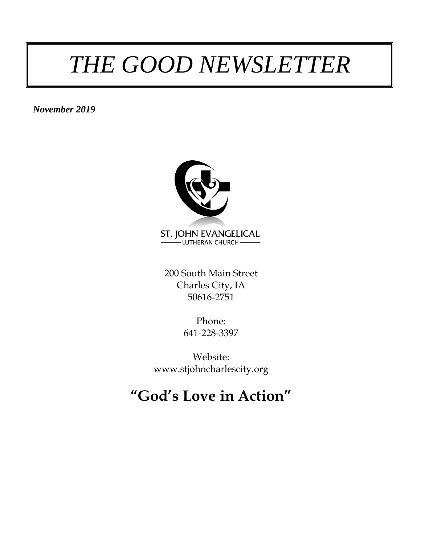# *THE GOOD NEWSLETTER*

*November 2019*



200 South Main Street Charles City, IA 50616-2751

> Phone: 641-228-3397

Website: www.stjohncharlescity.org

### **"God's Love in Action"**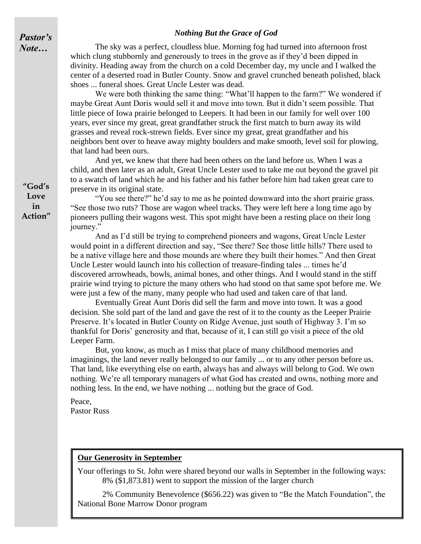#### *Nothing But the Grace of God*

*Pastor's Note…*

The sky was a perfect, cloudless blue. Morning fog had turned into afternoon frost which clung stubbornly and generously to trees in the grove as if they'd been dipped in divinity. Heading away from the church on a cold December day, my uncle and I walked the center of a deserted road in Butler County. Snow and gravel crunched beneath polished, black shoes ... funeral shoes. Great Uncle Lester was dead.

We were both thinking the same thing: "What'll happen to the farm?" We wondered if maybe Great Aunt Doris would sell it and move into town. But it didn't seem possible. That little piece of Iowa prairie belonged to Leepers. It had been in our family for well over 100 years, ever since my great, great grandfather struck the first match to burn away its wild grasses and reveal rock-strewn fields. Ever since my great, great grandfather and his neighbors bent over to heave away mighty boulders and make smooth, level soil for plowing, that land had been ours.

And yet, we knew that there had been others on the land before us. When I was a child, and then later as an adult, Great Uncle Lester used to take me out beyond the gravel pit to a swatch of land which he and his father and his father before him had taken great care to preserve in its original state.

"You see there?" he'd say to me as he pointed downward into the short prairie grass. "See those two ruts? Those are wagon wheel tracks. They were left here a long time ago by pioneers pulling their wagons west. This spot might have been a resting place on their long journey."

And as I'd still be trying to comprehend pioneers and wagons, Great Uncle Lester would point in a different direction and say, "See there? See those little hills? There used to be a native village here and those mounds are where they built their homes." And then Great Uncle Lester would launch into his collection of treasure-finding tales ... times he'd discovered arrowheads, bowls, animal bones, and other things. And I would stand in the stiff prairie wind trying to picture the many others who had stood on that same spot before me. We were just a few of the many, many people who had used and taken care of that land.

Eventually Great Aunt Doris did sell the farm and move into town. It was a good decision. She sold part of the land and gave the rest of it to the county as the Leeper Prairie Preserve. It's located in Butler County on Ridge Avenue, just south of Highway 3. I'm so thankful for Doris' generosity and that, because of it, I can still go visit a piece of the old Leeper Farm.

But, you know, as much as I miss that place of many childhood memories and imaginings, the land never really belonged to our family ... or to any other person before us. That land, like everything else on earth, always has and always will belong to God. We own nothing. We're all temporary managers of what God has created and owns, nothing more and nothing less. In the end, we have nothing ... nothing but the grace of God.

Peace, Pastor Russ

#### **Our Generosity in September**

Your offerings to St. John were shared beyond our walls in September in the following ways: 8% (\$1,873.81) went to support the mission of the larger church

2% Community Benevolence (\$656.22) was given to "Be the Match Foundation", the National Bone Marrow Donor program

**"God's Love in Action"**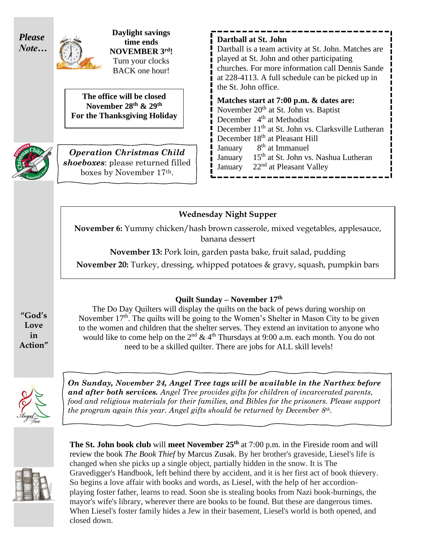

**Daylight savings time ends NOVEMBER 3 rd!** Turn your clocks BACK one hour!

**The office will be closed November 28 th & 29 th For the Thanksgiving Holiday**



*Operation Christmas Child shoeboxes*: please returned filled boxes by November 17th.

**Dartball at St. John**

Dartball is a team activity at St. John. Matches are played at St. John and other participating churches. For more information call Dennis Sande at 228-4113. A full schedule can be picked up in the St. John office.

#### **Matches start at 7:00 p.m. & dates are:**

November 20<sup>th</sup> at St. John vs. Baptist December 4<sup>th</sup> at Methodist December 11<sup>th</sup> at St. John vs. Clarksville Lutheran December 18<sup>th</sup> at Pleasant Hill **January** 8<sup>th</sup> at Immanuel **January** 15<sup>th</sup> at St. John vs. Nashua Lutheran January  $22<sup>nd</sup>$  at Pleasant Valley

#### **Wednesday Night Supper**

**November 6:** Yummy chicken/hash brown casserole, mixed vegetables, applesauce, banana dessert

**November 13:** Pork loin, garden pasta bake, fruit salad, pudding

**November 20:** Turkey, dressing, whipped potatoes & gravy, squash, pumpkin bars

**Quilt Sunday – November 17th**

The Do Day Quilters will display the quilts on the back of pews during worship on November  $17<sup>th</sup>$ . The quilts will be going to the Women's Shelter in Mason City to be given to the women and children that the shelter serves. They extend an invitation to anyone who would like to come help on the  $2<sup>nd</sup> \& 4<sup>th</sup> Thursday at 9:00 a.m. each month. You do not$ need to be a skilled quilter. There are jobs for ALL skill levels!



*On Sunday, November 24, Angel Tree tags will be available in the Narthex before and after both services. Angel Tree provides gifts for children of incarcerated parents, food and religious materials for their families, and Bibles for the prisoners. Please support the program again this year. Angel gifts should be returned by December 8th.*



**The St. John book club** will **meet November 25th** at 7:00 p.m. in the Fireside room and will review the book *The Book Thief* by Marcus Zusak. By her brother's graveside, Liesel's life is changed when she picks up a single object, partially hidden in the snow. It is The Gravedigger's Handbook, left behind there by accident, and it is her first act of book thievery. So begins a love affair with books and words, as Liesel, with the help of her accordionplaying foster father, learns to read. Soon she is stealing books from Nazi book-burnings, the mayor's wife's library, wherever there are books to be found. But these are dangerous times. When Liesel's foster family hides a Jew in their basement, Liesel's world is both opened, and closed down.

**"God's Love in Action"**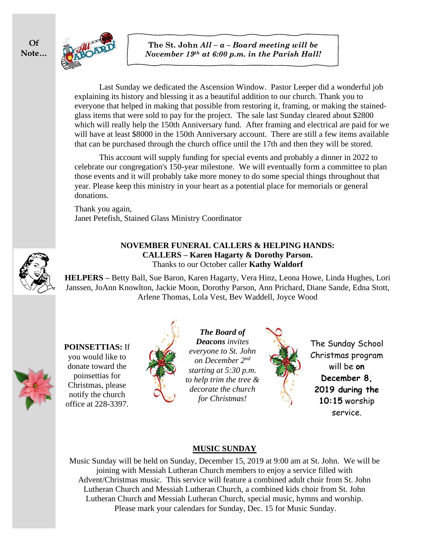

Last Sunday we dedicated the Ascension Window. Pastor Leeper did a wonderful job explaining its history and blessing it as a beautiful addition to our church. Thank you to everyone that helped in making that possible from restoring it, framing, or making the stainedglass items that were sold to pay for the project. The sale last Sunday cleared about \$2800 which will really help the 150th Anniversary fund. After framing and electrical are paid for we will have at least \$8000 in the 150th Anniversary account. There are still a few items available that can be purchased through the church office until the 17th and then they will be stored.

This account will supply funding for special events and probably a dinner in 2022 to celebrate our congregation's 150-year milestone. We will eventually form a committee to plan those events and it will probably take more money to do some special things throughout that year. Please keep this ministry in your heart as a potential place for memorials or general donations.

Thank you again, Janet Petefish, Stained Glass Ministry Coordinator



#### **NOVEMBER FUNERAL CALLERS & HELPING HANDS: CALLERS – Karen Hagarty & Dorothy Parson.**  Thanks to our October caller **Kathy Waldorf**

**HELPERS –** Betty Ball, Sue Baron, Karen Hagarty, Vera Hinz, Leona Howe, Linda Hughes, Lori Janssen, JoAnn Knowlton, Jackie Moon, Dorothy Parson, Ann Prichard, Diane Sande, Edna Stott, Arlene Thomas, Lola Vest, Bev Waddell, Joyce Wood

**POINSETTIAS:** If you would like to donate toward the poinsettias for Christmas, please notify the church office at 228-3397.



*The Board of Deacons invites everyone to St. John on December 2nd starting at 5:30 p.m. to help trim the tree & decorate the church for Christmas!*



The Sunday School Christmas program will be **on December 8, 2019 during the 10:15** worship service.

#### **MUSIC SUNDAY**

Music Sunday will be held on Sunday, December 15, 2019 at 9:00 am at St. John. We will be joining with Messiah Lutheran Church members to enjoy a service filled with Advent/Christmas music. This service will feature a combined adult choir from St. John Lutheran Church and Messiah Lutheran Church, a combined kids choir from St. John Lutheran Church and Messiah Lutheran Church, special music, hymns and worship. Please mark your calendars for Sunday, Dec. 15 for Music Sunday.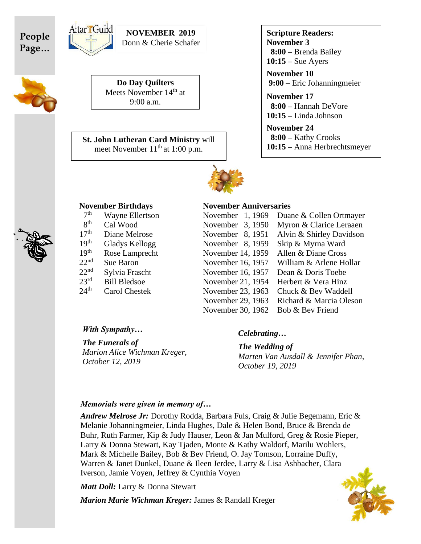





9:00 a.m.

**Do Day Quilters** Meets November 14<sup>th</sup> at

**NOVEMBER 2019** Donn & Cherie Schafer

**St. John Lutheran Card Ministry** will meet November 11<sup>th</sup> at 1:00 p.m.

**Scripture Readers: November 3 8:00 –** Brenda Bailey **10:15 –** Sue Ayers

**November 10 9:00 –** Eric Johanningmeier

**November 17 8:00 –** Hannah DeVore **10:15 –** Linda Johnson

**November 24 8:00 –** Kathy Crooks **10:15 –** Anna Herbrechtsmeyer



tar Guild

| 7 <sup>th</sup>  | <b>Wayne Ellertson</b> |
|------------------|------------------------|
| gth              | Cal Wood               |
| 17 <sup>th</sup> | Diane Melrose          |
| 19 <sup>th</sup> | <b>Gladys Kellogg</b>  |
| 19 <sup>th</sup> | Rose Lamprecht         |
| 22 <sup>nd</sup> | <b>Sue Baron</b>       |
| 22 <sup>nd</sup> | Sylvia Frascht         |
| 23 <sup>rd</sup> | <b>Bill Bledsoe</b>    |
| 24 <sup>th</sup> | <b>Carol Chestek</b>   |
|                  |                        |

#### **November Birthdays November Anniversaries**

| 7 <sup>th</sup>  | <b>Wayne Ellertson</b> | November 1, 1969  | Duane & Collen Ortmayer  |
|------------------|------------------------|-------------------|--------------------------|
| 8 <sup>th</sup>  | Cal Wood               | November 3, 1950  | Myron & Clarice Leraaen  |
| 17 <sup>th</sup> | Diane Melrose          | November 8, 1951  | Alvin & Shirley Davidson |
| 19 <sup>th</sup> | Gladys Kellogg         | November 8, 1959  | Skip & Myrna Ward        |
| 19 <sup>th</sup> | Rose Lamprecht         | November 14, 1959 | Allen & Diane Cross      |
| $22^{\text{nd}}$ | Sue Baron              | November 16, 1957 | William & Arlene Hollar  |
| $22^{\text{nd}}$ | Sylvia Frascht         | November 16, 1957 | Dean & Doris Toebe       |
| 23 <sup>rd</sup> | <b>Bill Bledsoe</b>    | November 21, 1954 | Herbert & Vera Hinz      |
| $24^{\text{th}}$ | Carol Chestek          | November 23, 1963 | Chuck & Bev Waddell      |
|                  |                        | November 29, 1963 | Richard & Marcia Oleson  |
|                  |                        | November 30, 1962 | Bob & Bev Friend         |
|                  |                        |                   |                          |

#### *With Sympathy…*

*The Funerals of Marion Alice Wichman Kreger, October 12, 2019*

#### *Celebrating…*

*The Wedding of Marten Van Ausdall & Jennifer Phan, October 19, 2019* 

#### *Memorials were given in memory of…*

*Andrew Melrose Jr:* Dorothy Rodda, Barbara Fuls, Craig & Julie Begemann, Eric & Melanie Johanningmeier, Linda Hughes, Dale & Helen Bond, Bruce & Brenda de Buhr, Ruth Farmer, Kip & Judy Hauser, Leon & Jan Mulford, Greg & Rosie Pieper, Larry & Donna Stewart, Kay Tjaden, Monte & Kathy Waldorf, Marilu Wohlers, Mark & Michelle Bailey, Bob & Bev Friend, O. Jay Tomson, Lorraine Duffy, Warren & Janet Dunkel, Duane & Ileen Jerdee, Larry & Lisa Ashbacher, Clara Iverson, Jamie Voyen, Jeffrey & Cynthia Voyen

*Matt Doll:* Larry & Donna Stewart

*Marion Marie Wichman Kreger:* James & Randall Kreger



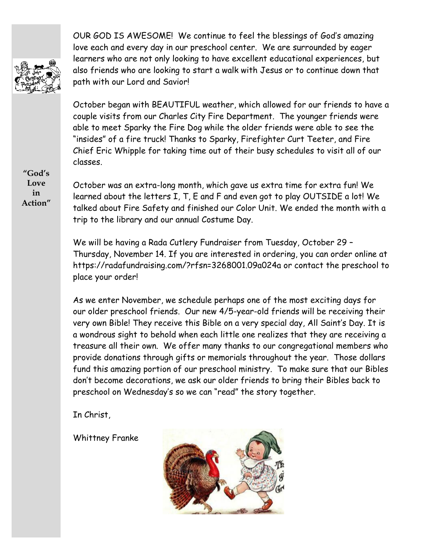

OUR GOD IS AWESOME! We continue to feel the blessings of God's amazing love each and every day in our preschool center. We are surrounded by eager learners who are not only looking to have excellent educational experiences, but also friends who are looking to start a walk with Jesus or to continue down that path with our Lord and Savior!

October began with BEAUTIFUL weather, which allowed for our friends to have a couple visits from our Charles City Fire Department. The younger friends were able to meet Sparky the Fire Dog while the older friends were able to see the "insides" of a fire truck! Thanks to Sparky, Firefighter Curt Teeter, and Fire Chief Eric Whipple for taking time out of their busy schedules to visit all of our classes.

**"God's Love in Action"**

October was an extra-long month, which gave us extra time for extra fun! We learned about the letters I, T, E and F and even got to play OUTSIDE a lot! We talked about Fire Safety and finished our Color Unit. We ended the month with a trip to the library and our annual Costume Day.

We will be having a Rada Cutlery Fundraiser from Tuesday, October 29 – Thursday, November 14. If you are interested in ordering, you can order online at https://radafundraising.com/?rfsn=3268001.09a024a or contact the preschool to place your order!

As we enter November, we schedule perhaps one of the most exciting days for our older preschool friends. Our new 4/5-year-old friends will be receiving their very own Bible! They receive this Bible on a very special day, All Saint's Day. It is a wondrous sight to behold when each little one realizes that they are receiving a treasure all their own. We offer many thanks to our congregational members who provide donations through gifts or memorials throughout the year. Those dollars fund this amazing portion of our preschool ministry. To make sure that our Bibles don't become decorations, we ask our older friends to bring their Bibles back to preschool on Wednesday's so we can "read" the story together.

In Christ,

Whittney Franke

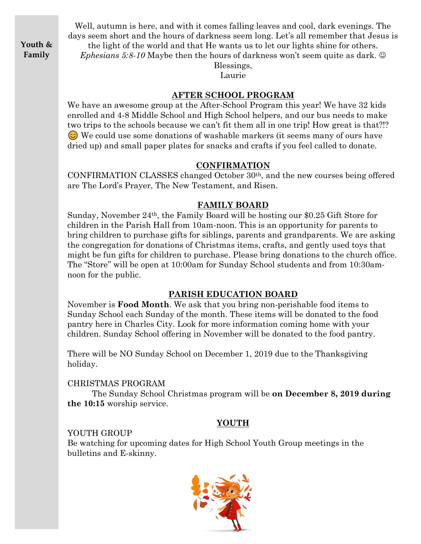**Youth & Family**

Well, autumn is here, and with it comes falling leaves and cool, dark evenings. The days seem short and the hours of darkness seem long. Let's all remember that Jesus is the light of the world and that He wants us to let our lights shine for others.

*Ephesians 5:8-10* Maybe then the hours of darkness won't seem quite as dark.  $\odot$ 

Blessings, Laurie

#### **AFTER SCHOOL PROGRAM**

We have an awesome group at the After-School Program this year! We have 32 kids enrolled and 4-8 Middle School and High School helpers, and our bus needs to make two trips to the schools because we can't fit them all in one trip! How great is that?!? We could use some donations of washable markers (it seems many of ours have dried up) and small paper plates for snacks and crafts if you feel called to donate.

#### **CONFIRMATION**

CONFIRMATION CLASSES changed October 30th, and the new courses being offered are The Lord's Prayer, The New Testament, and Risen.

#### **FAMILY BOARD**

Sunday, November 24th, the Family Board will be hosting our \$0.25 Gift Store for children in the Parish Hall from 10am-noon. This is an opportunity for parents to bring children to purchase gifts for siblings, parents and grandparents. We are asking the congregation for donations of Christmas items, crafts, and gently used toys that might be fun gifts for children to purchase. Please bring donations to the church office. The "Store" will be open at 10:00am for Sunday School students and from 10:30amnoon for the public.

#### **PARISH EDUCATION BOARD**

November is **Food Month**. We ask that you bring non-perishable food items to Sunday School each Sunday of the month. These items will be donated to the food pantry here in Charles City. Look for more information coming home with your children. Sunday School offering in November will be donated to the food pantry.

There will be NO Sunday School on December 1, 2019 due to the Thanksgiving holiday.

#### CHRISTMAS PROGRAM

The Sunday School Christmas program will be **on December 8, 2019 during the 10:15** worship service.

#### **YOUTH**

#### YOUTH GROUP

Be watching for upcoming dates for High School Youth Group meetings in the bulletins and E-skinny.

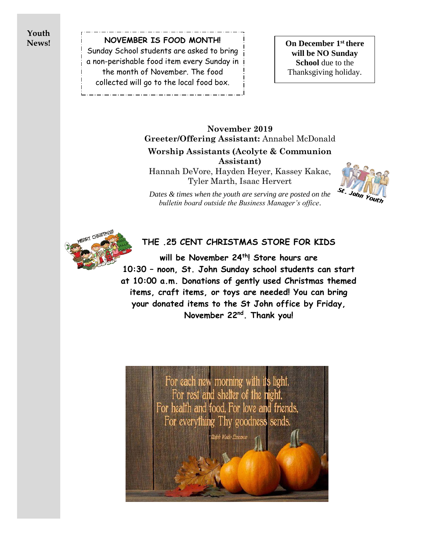**Youth News!**

**NOVEMBER IS FOOD MONTH!** Sunday School students are asked to bring a non-perishable food item every Sunday in the month of November. The food collected will go to the local food box.

**On December 1st there will be NO Sunday School** due to the Thanksgiving holiday.

### **November 2019 Greeter/Offering Assistant:** Annabel McDonald **Worship Assistants (Acolyte & Communion Assistant)**

Hannah DeVore, Hayden Heyer, Kassey Kakac, Tyler Marth, Isaac Hervert



*Dates & times when the youth are serving are posted on the bulletin board outside the Business Manager's office*.



### **THE .25 CENT CHRISTMAS STORE FOR KIDS**

**will be November 24th! Store hours are [10:](https://www.google.com/url?sa=i&rct=j&q=&esrc=s&source=images&cd=&cad=rja&uact=8&ved=0ahUKEwiR77ja5I7XAhWr24MKHQRrC8EQjRwIBw&url=http://www.tbcnow.org/blog/post/kids-street-christmas-party&psig=AOvVaw0Zm-MQDMDa6Mow5nkVXsEW&ust=1509124407462443)30 – noon, St. John Sunday school students can start at 10:00 a.m. Donations of gently used Christmas themed items, craft items, or toys are needed! You can bring your donated items to the St John office by Friday, November 22nd. Thank you!**

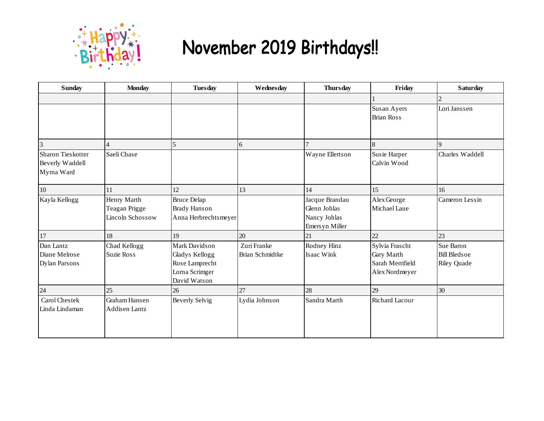

# November 2019 Birthdays!!

| <b>Sunday</b>                                      | <b>Monday</b>                                    | <b>Tuesday</b>                                                                      | Wednesday                      | <b>Thursday</b>                                                   | Friday                                                                    | <b>Saturday</b>                                        |
|----------------------------------------------------|--------------------------------------------------|-------------------------------------------------------------------------------------|--------------------------------|-------------------------------------------------------------------|---------------------------------------------------------------------------|--------------------------------------------------------|
|                                                    |                                                  |                                                                                     |                                |                                                                   |                                                                           | 2                                                      |
|                                                    |                                                  |                                                                                     |                                |                                                                   | Susan Ayers<br><b>Brian Ross</b>                                          | Lori Janssen                                           |
|                                                    |                                                  | 5                                                                                   | 6                              |                                                                   | 8                                                                         | $\overline{9}$                                         |
| Sharon Tieskotter<br>Beverly Waddell<br>Myrna Ward | Saeli Chase                                      |                                                                                     |                                | Wayne Ellertson                                                   | Susie Harper<br>Calvin Wood                                               | Charles Waddell                                        |
| $10\,$                                             | 11                                               | 12                                                                                  | 13                             | 14                                                                | 15                                                                        | 16                                                     |
| Kayla Kellogg                                      | Henry Marth<br>Teagan Prigge<br>Lincoln Schossow | <b>Bruce Delap</b><br><b>Brady Hanson</b><br>Anna Herbrechtsmeyer                   |                                | Jacque Brandau<br>Glenn Johlas<br>Nancy Johlas<br>Emers yn Miller | Alex George<br>Michael Laue                                               | Cameron Lessin                                         |
| 17                                                 | 18                                               | 19                                                                                  | 20                             | 21                                                                | 22                                                                        | 23                                                     |
| Dan Lantz<br>Diane Melrose<br>Dylan Parsons        | Chad Kellogg<br>Suzie Ross                       | Mark Davidson<br>Gladys Kellogg<br>Rose Lamprecht<br>Lorna Scrimger<br>David Watson | Zuri Franke<br>Brian Schmidtke | Rodney Hinz<br>Isaac Wink                                         | Sylvia Frascht<br><b>Gary Marth</b><br>Sarah Merrifield<br>Alex Nordmeyer | Sue Baron<br><b>Bill Bledsoe</b><br><b>Riley Quade</b> |
| 24                                                 | 25                                               | 26                                                                                  | 27                             | 28                                                                | 29                                                                        | 30                                                     |
| Carol Chestek<br>Linda Lindaman                    | Graham Hansen<br><b>Addisen Lantz</b>            | <b>Beverly Selvig</b>                                                               | Lydia Johnson                  | Sandra Marth                                                      | Richard Lacour                                                            |                                                        |